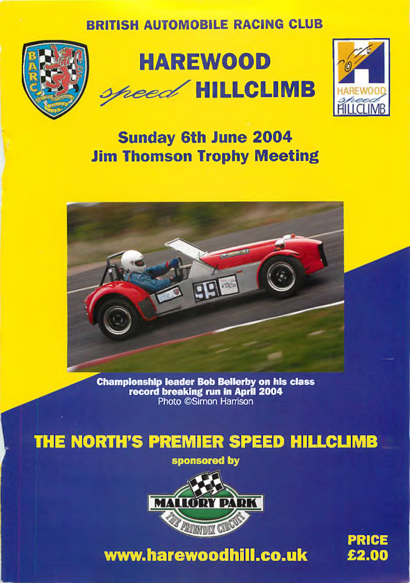### **BRITISH AUTOMOBILE RACING CLUB**







# **Sunday 6th June 2004 Jim Thomson Trophy Meeting**



**Championship leader Bob Bellerby on his class ^ ' record breaking run In April 2004** Photo ©Simon Harrison

# **THE NORTH'S PREMIER SPEED HILLCLIMB**

**sponsored by**



**[www.harewoodhill.co.uk](http://www.harewoodhill.co.uk)**

PRICE £**2.00**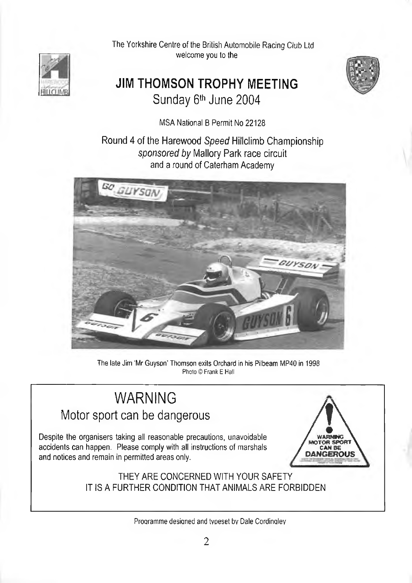

The Yorkshire Centre of the British Automobile Racing Club Ltd welcome you to the

### **JIM THOMSON TROPHY MEETING** Sunday 6<sup>th</sup> June 2004



MSA National B Permit No 22128

Round 4 of the Harewood *Speed* Hillclimb Championship *sponsored by* Mallory Park race circuit and a round of Caterham Academy



The late Jim 'Mr Guyson' Thomson exits Orchard in his Pilbeam MP40 in 1998 Photo © Frank E Hall

# WARNING VVARINING<br>Motor sport can be dangerous<br>Despite the organisers taking all reasonable precautions, unavoidable

accidents can happen. Please comply with all instructions of marshals and notices and remain in permitted areas only. */*



THEY ARE CONCERNED WITH YOUR SAFETY IT IS A FURTHER CONDITION THAT ANIMALS ARE FORBIDDEN

Proaramme desiqned and tvoeset bv Dale Cordinqlev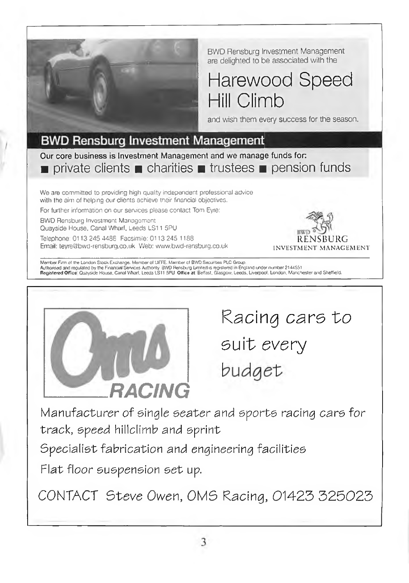

BWD Rensburg Investment Management are delighted to be associated with the

Harewood Speed Hill Climb

and wish them every success for the season.

#### **BWD Rensburg Investment Management**

Our core business is Investment Management and we manage funds fon ■ private clients ■ charities ■ trustees ■ pension funds

We are committed to providing high quality independent professional advice with the aim of helping our clients achieve their financial objectives.

For further infomiation on our services please contact Tom Eyre:

BWD Rensburg Investment Management

Quayside House. Canal Wharf, Leeds LS11 5PU

Telephone: 0113 245 4488 Facsimile: 0113 245 1188 let a set a set a set a set a R F N SBU R G Email: teyre@bwd-rensburg.co.uk Web: www.bwd-rensburg.co.uk INVESTMENT MANAGEMENT



Merrber Firm of the London Stock Exchange. Member of UEFE. Member of BWD Securities PLC Group.<br>Authorised and regulated by the Fnancial Services Authorey BWD Pendang Limfert is registered in England under number 2144551<br><mark>R</mark>



Racing cars to suit *every* budget

Manufacturer *of* single seater and *eporte* racing cars for track, *epeed* hillclimb and sprint

Specialist fabrication and engineering facilities

Flat floor suspension set up.

CONTACT 5teva Owen, 0M5 *Kacing,* 01425 325023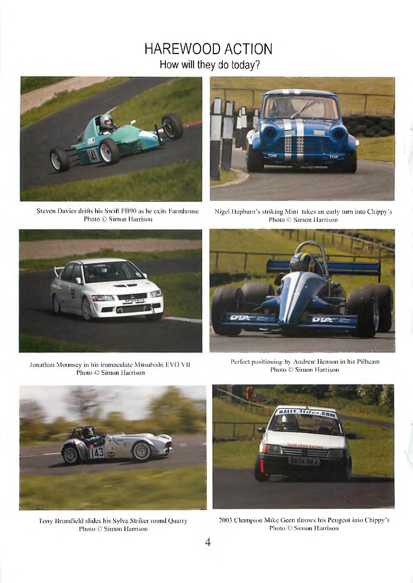### HAREWOOD ACTION How will they do today?





Steven Davies drifts his Swift FB90 as he exits l-arnihouse Nigel Hepburn's striking Mini takes an early turn into Chippy's<br>Photo C Simon Harrison Photo C Simon Harrison Photo © Simon Harrison



Jonathan Mounsey in his immaculate Mitsubishi EVO VII Photo © Simon Harrison



Perfect positioning by Andrew Henson in his Pilbeam Photo © Simon Harrison



Tony Brumfield slides his Sylva Striker round Quarry Photo © Simon Harrison



2003 Champion Mike Geen throws his Peugeot into Chippy's Photo © Simon Harrison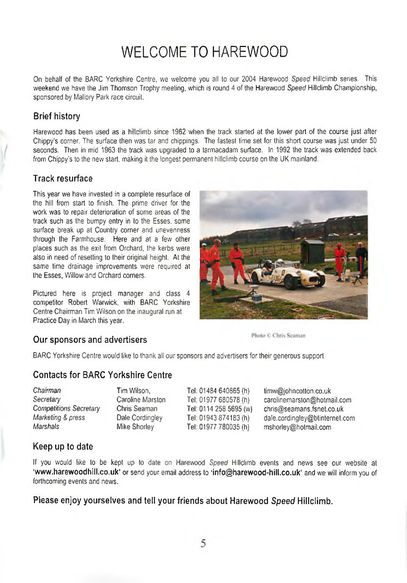## WELCOME TO HAREWOOD

On behalf of the BARC Yorkshire Centre, we welcome you all to our 2004 Harewood *Speed* Hillclimb series. This weekend we have the Jim Thomson Trophy meeting, which is round 4 of the Harewood *Speed* Hillclimb Championship, sponsored by Mallory Park race circuit.

#### Brief history

Harewood has been used as a hillclimb since 1962 when the track started at the lower part of the course just after Chippy's corner. The surface then was tar and chippings. The fastest time set for this short course was just under 50 seconds. Then in mid 1963 the track was upgraded to a tarmacadam surface. In 1992 the track was extended back from Chippy's to the new start, making it the longest permanent hillclimb course on the UK mainland.

#### Track resurface

This year we have invested in a complete resurface of the hill from start to finish. The prime driver for the work was to repair deterioration of some areas of the track such as the bumpy entry in to the Esses, some surface break up at Country corner and unevenness through the Farmhouse. Here and at a few other places such as the exit from Orchard, the kerbs were also in need of resetting to their original height. At the same time drainage improvements were required at the Esses, Willow and Orchard corners.

Pictured here is project manager and class 4 competitor Robert Wanwick, with BARC Yorkshire Centre Chairman Tim Wilson on the inaugural run at Practice Day in March this year.



#### Our sponsors and advertisers **Scansors** Photo C Chris Scanson

BARC Yorkshire Centre would like to thank all our sponsors and advertisers for their generous support.

#### Contacts for BARC Yorkshire Centre

| Tim Wilson,      | Tel: 01484 640865 (h)  | timw@johncotton.co.uk          |
|------------------|------------------------|--------------------------------|
| Caroline Marston | Tel: 01977 680578 (h)  | carolinemarston@hotmail.com    |
| Chris Seaman     | Tel: 0114 258 5695 (w) | chris@seamans.fsnet.co.uk      |
| Dale Cordingley  | Tel: 01943 874183 (h)  | dale.cordingley@btinternet.com |
| Mike Shorley     | Tel: 01977 780035 (h)  | mshorley@hotmail.com           |
|                  |                        |                                |

#### Keep up to date

If you would like to be kept up to date on Harewood *Speed* Hillclimb events and news see our website at 'www.harewoodhill.co.uk' or send your email address to 'info@harewood-hill.co.uk' and we will inform you of forthcoming events and news.

Please enjoy yourselves and tell your friends about Harewood *Speed* Hillclimb.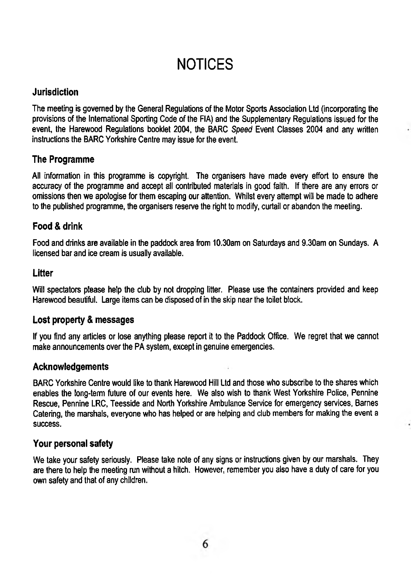# **NOTICES**

#### **Jurisdiction**

The meeting is governed by the General Regulations of the Motor Sports Association Ltd (incorporating the provisions of the International Sporting Code of the FIA) and the Supplementary Regulations issued for the event, the Harewood Regulations booklet 2004, the BARC *Speed* Event Classes 2004 and any written instructions the BARC Yorkshire Centre may issue for the event.

#### **The Programme**

All information in this programme is copyright. The organisers have made every effort to ensure the accuracy of the programme and accept all contributed materials in good faith. If there are any errors or omissions then we apologise for them escaping our attention. Whilst every attempt will be made to adhere to the published programme, the organisers reserve the right to modify, curtail or abandon the meeting.

#### **Food & drink**

Food and drinks are available in the paddock area from 10.30am on Saturdays and 9.30am on Sundays. A licensed bar and ice cream is usually available.

#### **Litter**

Will spectators please help the club by not dropping litter. Please use the containers provided and keep Harewood beautiful. Large items can be disposed of in the skip near the toilet block.

#### **Lost property & messages**

If you find any articles or lose anything please report it to the Paddock Office. We regret that we cannot make announcements over the PA system, except in genuine emergencies.

#### **Acknowledgements**

BARC Yorkshire Centre would like to thank Harewood Hill Ltd and those who subscribe to the shares which enables the long-term future of our events here. We also wish to thank West Yorkshire Police, Pennine Rescue, Pennine LRC, Teesside and North Yorkshire Ambulance Service for emergency services, Barnes Catering, the marshals, everyone who has helped or are helping and club members for making the event a success.

#### **Your personal safety**

We take your safety seriously. Please take note of any signs or instructions given by our marshals. They are there to help the meeting run without a hitch. However, remember you also have a duty of care for you own safety and that of any children.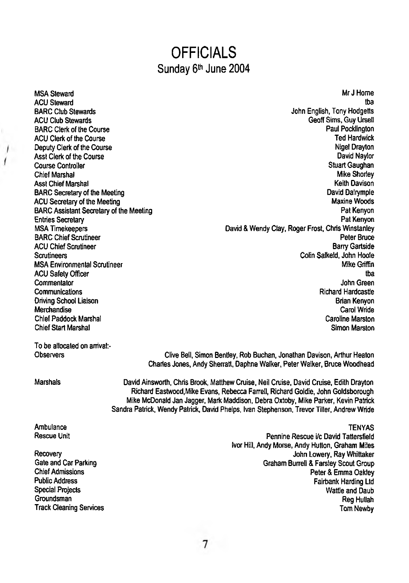### **OFFICIALS** Sunday 6<sup>th</sup> June 2004

MSA Steward ACU Steward BARC Club Stewards ACU Club Stewards BARC Clerk of the Course ACU Clerk of the Course Deputy Clerk of the Course Asst Clerk of the Course Course Controller Chief Marshal Asst Chief Marshal BARC Secretary of the Meeting ACU Secretary of the Meeting BARC Assistant Secretary of the Meeting Entries Secretary MSA Timekeepers BARC Chief Scrutineer ACU Chief Scrutineer **Scrutineers** MSA Environmental Scrutineer ACU Safety Officer Commentator Communications Driving School Liaison Merchandise Chief Paddock Marshal Chief Start Marshal

Mr J Home tba John English, Tony Hodgetts Geoff Sims, Guy Ursell Paul Pocklington Ted Hardwick Nigel Drayton David Naylor Stuart Gaughan Mike Shorley Keith Davison David Dalrymple Maxine Woods Pat Kenyon Pat Kenyon David & Wendy Clay, Roger Frost, Chris Winstanley Peter Bruce Barry Gartside Colin Salkeld, John Hoole Mike Griffin tba John Green Richard Hardcastle Brian Kenyon Carol Wride Caroline Marston

To be allocated on arrival:-**Observers** 

Clive Betl, Simon Bentley, Rob Buchan, Jonathan Davison, Arthur Heaton Charies Jones, Andy Sherratt, Daphne Walker, Peter Walker, Bruce Woodhead

Marshals

David Ainsworth, Chris Brook, Matthew Cruise, Neil Cruise, David Cruise, Edith Drayton Richard Eastwood,Mike Evans, Rebecca Farrell, Richard Goldie, John Goldsborough Mike McDonald Jan Jagger, Mark Maddison, Debra Oxtoby, Mike Parker, Kevin Patrick Sandra Patrick, Wendy Patrick, David Phelps, Ivan Stephenson. Trevor Tiller, Andrew Wride

TENYAS

Simon Marston

Ambulance Rescue Unit

**Recovery** Gate and Car Parking Chief Admissions Public Address Special Projects Groundsman Track Cleaning Services

Pennine Rescue i/c David Tattersfield Ivor Hill, Andy Morse, Andy Hutton, Graham Miles John Lowery, Ray Whittaker Graham Burrell & Farsley Scout Group Peter & Emma Oakley Fairbank Harding Ltd Wattle and Daub Reg Hullah Tom Newby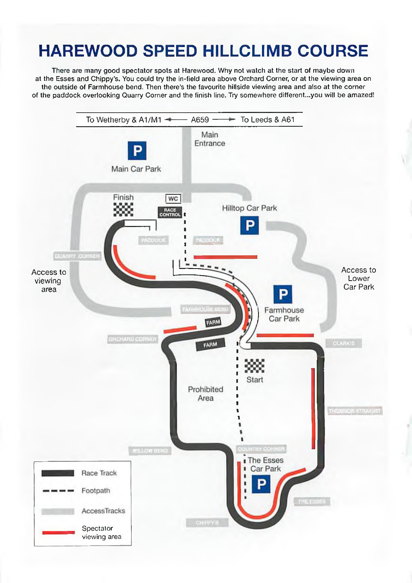# **HAREWOOD SPEED HILLCLIMB COURSE**

There are many good spectator spots at Harewood. Why not watch at the start of maybe down at the Esses and Chippy's. You could try the in-field area above Orchard Corner, or at the viewing area on the outside of Farmhouse bend. Then there's the favourite hillside viewing area and also at the corner of the paddock overlooking Quarry Corner and the finish line. Try somewhere different...you will be amazed!

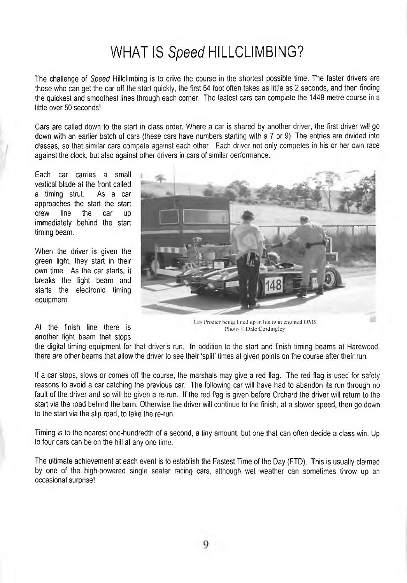# WHAT IS *Speed* HILLCLIMBING?

The challenge of *Speed* Hillclimbing is to drive the course in the shortest possible time. The faster drivers are those who can get the car off the start quickly, the first 64 foot often takes as little as 2 seconds, and then finding the quickest and smoothest lines through each corner. The fastest cars can complete the 1448 metre course in a little over 50 seconds!

Cars are called down to the start in class order. Where a car is shared by another driver, the first driver will go down with an earlier batch of cars (these cars have numbers starting with a 7 or 9). The entries are divided into classes, so that similar cars compete against each other. Each driver not only competes in his or her own race against the clock, but also against other drivers in cars of similar performance.

Each car carries a small vertical blade at the front called a timing strut. As a car approaches the start the start crew line the car up immediately behind the start timing beam.

When the driver is given the green light, they start in their own time. As the car starts, it breaks the light beam and starts the electronic timing equipment.

another light beam that stops



Les Procter being lined up in his twin engined OMS At the finish line there is  $P_{\text{hotoc}} = \frac{P}{P_{\text{hotoc}} - P_{\text{hotoc}}}$  ale Cordingley

the digital timing equipment for that driver's run. In addition to the start and finish timing beams at Harewood, there are other beams that allow the driver to see their 'split' times at given points on the course after their run.

If a car stops, slows or comes off the course, the marshals may give a red flag. The red flag is used for safety reasons to avoid a car catching the previous car. The following car will have had to abandon its run through no fault of the driver and so will be given a re-run. If the red flag is given before Orchard the driver will return to the start via the road behind the barn. Othenwise the driver will continue to the finish, at a slower speed, then go down to the start via the slip road, to take the re-run.

Timing is to the nearest one-hundredth of a second, a tiny amount, but one that can often decide a class win. Up to four cars can be on the hill at any one time.

The ultimate achievement at each event is to establish the Fastest Time of the Day (FTD). This is usually claimed by one of the high-powered single seater racing cars, although wet weather can sometimes throw up an occasional surprise!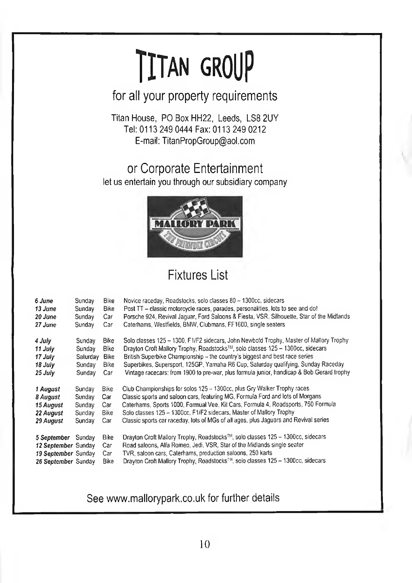# **TITAN GROUP**

for all your property requirements

Titan House, PO Box HH22, Leeds. LS8 2UY Tel: 0113 249 0444 Fax: 0113 249 0212 E-mail: [TitanPropGroup@aol.com](mailto:TitanPropGroup@aol.com)

or Corporate Entertainment let us entertain you through our subsidiary company



### Fixtures List

| 6 June              | Sunday   | Bike        | Novice raceday, Roadstocks, solo classes 80 - 1300cc, sidecars                            |
|---------------------|----------|-------------|-------------------------------------------------------------------------------------------|
| 13 June             | Sunday   | Bike        | Post TT - classic motorcycle races, parades, personalities, lots to see and do!           |
| 20 June             | Sunday   | Car         | Porsche 924, Revival Jaquar, Ford Saloons & Fiesta, VSR, Silhouette, Star of the Midlands |
| 27 June             | Sunday   | Car         | Caterhams, Westfields, BMW, Clubmans, FF1600, single seaters                              |
| 4 July              | Sunday   | Bike        | Solo classes 125 – 1300, F1/F2 sidecars, John Newbold Trophy, Master of Mallory Trophy    |
| 11 July             | Sunday   | Bike        | Drayton Croft Mallory Trophy, Roadstocks™, solo classes 125 - 1300cc, sidecars            |
| 17 July             | Saturday | Bike        | British Superbike Championship - the country's biggest and best race series               |
| 18 July             | Sunday   | Bike        | Superbikes, Supersport, 125GP, Yamaha R6 Cup, Saturday qualifying, Sunday Raceday         |
| 25 July             | Sunday   | Car         | Vintage racecars: from 1900 to pre-war, plus formula junior, handicap & Bob Gerard trophy |
| 1 August            | Sunday   | <b>Bike</b> | Club Championships for solos 125 - 1300cc, plus Gry Walker Trophy races                   |
| 8 August            | Sunday   | Car         | Classic sports and saloon cars, featuring MG, Formula Ford and lots of Morgans            |
| 15 August           | Sunday   | Car         | Caterhams, Sports 1000, Formual Vee, Kit Cars, Formula 4, Roadsports, 750 Formula         |
| 22 August           | Sunday   | Bike        | Solo classes 125 - 1300cc, F1/F2 sidecars, Master of Mallory Trophy                       |
| 29 August           | Sunday   | Car         | Classic sports car raceday, lots of MGs of all ages, plus Jaguars and Revival series      |
| 5 September         | Sunday   | Bike        | Drayton Croft Mallory Trophy, Roadstocks™, solo classes 125 – 1300cc, sidecars            |
| 12 September Sunday |          | Car         | Road saloons, Alfa Romeo, Jedi, VSR, Star of the Midlands single seater                   |
| 19 September Sunday |          | Car         | TVR, saloon cars. Caterhams, production saloons, 250 karts                                |
| 26 September Sunday |          | Bike        | Drayton Croft Mallory Trophy, Roadstocks™, solo classes 125 - 1300cc, sidecars            |

See [www.mallorypark.co.uk](http://www.mallorypark.co.uk) for further details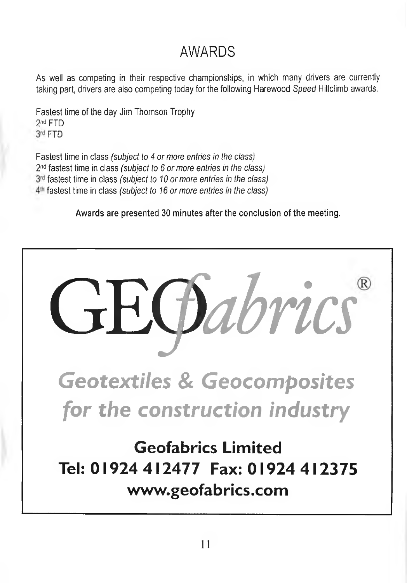# AWARDS

As well as competing in their respective championships, in which many drivers are currently taking part, drivers are also competing today for the following Harewood *Speed* Hillclimb awards.

Fastest time of the day Jim Thomson Trophy 2<sup>nd</sup> FTD 3rd FTD

Fastest time in class *(subject to 4 or more entries in the class)* 2<sup>nd</sup> fastest time in class *(subject to 6 or more entries in the class)* fastest time in class *(subject to 10 or more entries in the class)* fastest time in class *(subject to 16 or more entries in the class)*

Awards are presented 30 minutes after the conclusion of the meeting.

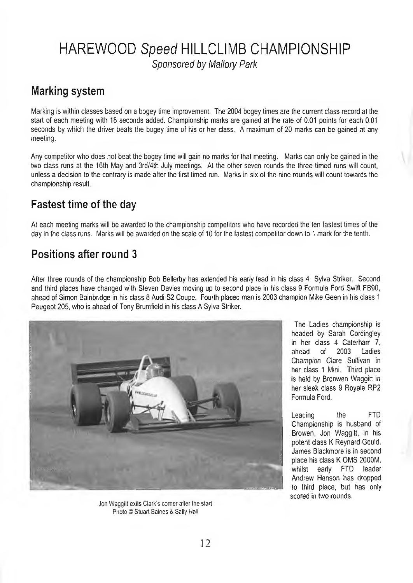### HAREWOOD Speed HILLCLIMB CHAMPIONSHIP *Sponsored by Mallory Park*

#### Marking system

Marking is within classes based on a bogey time improvement. The 2004 bogey times are the current class record at the start of each meeting with 18 seconds added. Championship marks are gained at the rate of 0.01 points for each 0.01 seconds by which the driver beats the bogey time of his or her class. A maximum of 20 marks can be gained at any meeting.

Any competitor who does not beat the bogey time will gain no marks for that meeting. Marks can only be gained in the two class runs at the 16th May and 3rd/4th July meetings. At the other seven rounds the three timed runs will count, unless a decision to the contrary is made after the first timed run. Marks in six of the nine rounds will count towards the championship result.

#### Fastest time of the day

At each meeting marks will be awarded to the championship competitors who have recorded the ten fastest times of the day in the class runs. Marks will be awarded on the scale of 10 for the fastest competitor down to 1 mark for the tenth.

#### Positions after round 3

After three rounds of the championship Bob Bellerby has extended his early lead in his class 4 Sylva Striker. Second and third places have changed with Steven Davies moving up to second place in his class 9 Formula Ford Swift FB90, ahead of Simon Bainbridge in his class 8 Audi S2 Coupe. Fourth placed man is 2003 champion Mike Geen in his class 1 Peugeot 205, who is ahead of Tony Brumfield in his class A Sylva Striker.



Jon Waggilt exits Clark's comer after the start Photo © Stuart Baines & Sally Hall

The Ladies championship is headed by Sarah Cordingley in her class 4 Caterham  $\overline{7}$ ,<br>ahead of 2003 Ladies ahead Champion Clare Sullivan in her class 1 Mini. Third place is held by Bronwen Waggitt in her sleek class 9 Royale RP2 Formula Ford.

Leading the FTD Championship is husband of Browen, Jon Waggitt, in his potent class K Reynard Gould. James Blackmore is in second place his class K QMS 2000M, whilst early FTD leader Andrew Henson has dropped to third place, but has only scored in two rounds.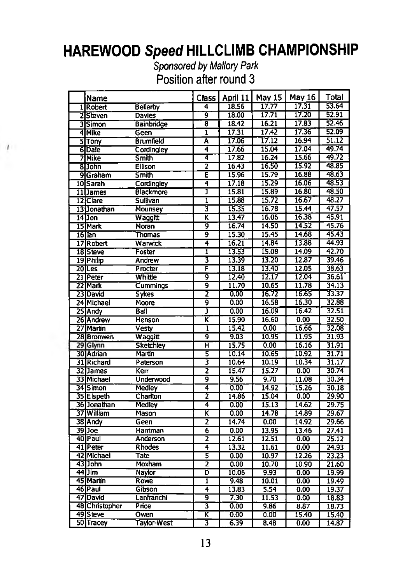### HAREWOOD *Speed* HILLCLIMB CHAMPIONSHIP

*Sponsored by Mallory Park* Position after round 3

 $\top$ 

| Name                         |                    | Class |                   | April 11   May 15 | May 16 | Total              |
|------------------------------|--------------------|-------|-------------------|-------------------|--------|--------------------|
| 1Robert                      | <b>Bellerby</b>    | 4     | 18.56             | 17.77             | 17.31  | 53.64              |
| 25teven                      | Davies             | 9     | 18.00             | 17.71             | 17.20  | 52.91              |
| 3Simon                       | <b>Bainbridge</b>  | ह     | 18.42             | 16.21             | 17.83  | 52.46              |
| 4 Mike                       | Geen               | ī     | 17.31             | 17.42             | 17.36  | 52.09              |
| <b>STrony</b>                | <b>Brumfield</b>   | Ā     | 17.06             | 17.12             | 16.94  | 51.12              |
| 6Dale                        | Cordingley         | 4     | 17.66             | 15.04             | 17.04  | 49.74              |
| 7 Mike                       | Smith              | 4     | 17.82             | 16.24             | 15.66  | 49.72              |
| 8Dohn                        | <b>Ellison</b>     | 7     | 16.43             | 16.50             | 15.92  | 48.85              |
| 9 Graham                     | Smith              | Ē     | 15.96             | 15.79             | 16.88  | 48.63              |
| 10 <sub>Sarah</sub>          | Cordingley         | 4     | 17.18             | 15.29             | 16.06  | 48.53              |
| 11James                      | Blackmore          | J     | 15.81             | 15.89             | 16.80  | 48.50              |
| 12 <sub>IC</sub> lare        | Sullivan           | ī     | 15.88             | 15.72             | 16.67  | 48.27              |
| 13 Jonathan                  | Mounsey            | 3     | 15.35             | 16.78             | 15.44  | 47.57              |
| $14$ ] on                    | Waqqitt            | π     | 13.47             | 16.06             | 16.38  | 45.91              |
| 15 Mark                      | <b>Moran</b>       | 9     | 16.74             | 14.50             | 14.52  | 45.76              |
| $16$ $\overline{\text{lan}}$ | <b>Thomas</b>      | 9     | 15.30             | 15.45             | 14.68  | 45.43              |
| 17 Robert                    | Warwick            | 4     | 16.21             | 14.84             | 13.88  | 44.93              |
| 18Steve                      | Foster             | ī     | 13.53             | 15.08             | 14.09  | 42.70              |
| 19 <sup>Philip</sup>         | Andrew             | 3     | 13.39             | 13.20             | 12.87  | 39.46              |
| 20 Les                       | Procter            | F     | 13.18             | 13.40             | 12.05  | 38.63              |
| 21 Peter                     | Whittle            | g     | 12,40             | 12.17             | 12.04  | 36.61              |
| 22 Mark                      | Cummings           | ढ़    | 11.70             | 10.65             | 11.78  | 34.13              |
| 23 David                     | <b>Sykes</b>       | 2     | 0.00              | 16.72             | 16.65  | 33.37              |
| 24 Michael                   | Moore              | έ     | 0.00              | 16.58             | 16.30  | 32.88              |
| 25 Andy                      | Ball               | J     | 0.00              | 16.09             | 16.42  | 32.51              |
| 26 Andrew                    | Henson             | K     | 15.90             | 16.60             | 0.00   | 32.50              |
| 27 Martin                    | Vesty              | Ī     | 15.42             | 0.00              | 16.66  | 32.08              |
| 28 Bronwen                   | Waggitt            | g     | 9.03              | 10.95             | 11.95  | 31.93              |
| 29 Glynn                     | <b>Sketchley</b>   | π     | 15.75             | 0.00              | 16.16  | 31.91              |
| 30 Adrian                    | Martin             | 5     | 10.14             | 10.65             | 10.92  | 31.71              |
| 31 Richard                   | Paterson           | 3     | 10.64             | 10.19             | 10.34  | $\overline{31.17}$ |
| 32 James                     | Ker                | 2     | 15.47             | 15.27             | 0.00   | 30.74              |
| 33 Michael                   | Underwood          | 9     | 9.56              | 9.70              | 11.08  | 30.34              |
| 34 Simon                     | <b>Medley</b>      | 4     | 0.00              | 14.92             | 15.26  | 30.18              |
| 35 Elspeth                   | Charlton           | 2     | 14.86             | 15.04             | 0.00   | 29.90              |
| 361 Jonathan                 | <b>Medley</b>      | 4     | 0.00              | 15.13             | 14.62  | 29.75              |
| 37 William                   | Mason              | K     | $\overline{0.00}$ | 14.78             | 14.89  | 29.67              |
| 38 Andy                      | Geen               | 2     | 14.74             | 0.00              | 14.92  | 29.66              |
| 39 Joe                       | Harriman           | 6     | 0.00              | 13.95             | 13.46  | 27.41              |
| 40 Paul                      | <b>Anderson</b>    | 2     | 12.61             | 12.51             | 0.00   | 25.12              |
| 41 Peter                     | <b>Rhodes</b>      | 4     | 13.32             | 11.61             | 0.00   | 24.93              |
| 42 Michael                   | Tate               | 3     | 0.00              | 10.97             | 12.26  | 23.23              |
| 431John                      | <b>Moxham</b>      | 2     | 0.00              | 10.70             | 10.90  | 21.60              |
| 44 Jim                       | Naylor             | D     | 10.06             | 9.93              | 0.00   | 19.99              |
| 45 Martin                    | Rowe               | ī     | 9.48              | 10.01             | 0.00   | 19.49              |
| 46 Paul                      | Gibson             | 4     | 13.83             | 5.54              | 0.00   | 19.37              |
| 47 David                     | Lanfranchi         | ॿ     | 7.30              | 11.53             | 0.00   | 18.83              |
| 48 Christopher               | Price              | 3     | 0.00              | 9.86              | 8.87   | 18.73              |
| 49 Steve                     | Owen               | κ     | 0.00              | 0.00              | 15.40  | 15.40              |
| 50 Tracey                    | <b>Taylor-West</b> | 3     | 6.39              | 8.48              | 0.00   | 14.87              |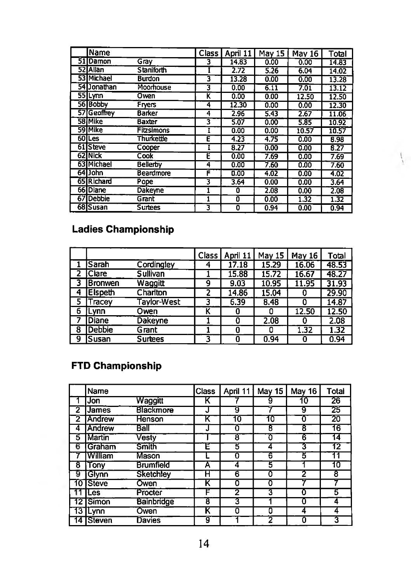| Name              |                   | Class I | April 11 | May 15 | <b>May 16</b> | Total |
|-------------------|-------------------|---------|----------|--------|---------------|-------|
| 51 Damon          | Gray              | 3       | 14.83    | 0.00   | 0.00          | 14.83 |
| 52 Allan          | <b>Staniforth</b> |         | 2.72     | 5.26   | 6.04          | 14.02 |
| 53 Michael        | <b>Burdon</b>     | 3       | 13.28    | 0.00   | 0.00          | 13.28 |
| 54 Jonathan       | Moorhouse         | 3       | 0.00     | 6.11   | 7.01          | 13.12 |
| 55 Lynn           | Owen              | κ       | 0.00     | 0.00   | 12.50         | 12.50 |
| 56 Bobby          | Fryers            | 4       | 12.30    | 0.00   | 0.00          | 12.30 |
| 57 Geoffrey       | Barker            | 4       | 2.96     | 5.43   | 2.67          | 11.06 |
| 58 Mike           | Baxter            | 3       | 5.07     | 0.00   | 5.85          | 10.92 |
| 59 Mike           | <b>Fitzsimons</b> |         | 0.00     | 0.00   | 10.57         | 10.57 |
| 60 <sub>Les</sub> | <b>Thurkettle</b> | E       | 4.23     | 4.75   | 0.00          | 8.98  |
| 61 Steve          | Cooper            |         | 8.27     | 0.00   | 0.00          | 8.27  |
| 62 Nick           | Cook              | Ē       | 0.00     | 7.69   | 0.00          | 7.69  |
| 63 Michael        | <b>Bellerby</b>   | 4       | 0.00     | 7.60   | 0.00          | 7.60  |
| 64 John           | <b>Beardmore</b>  | F       | 0.00     | 4.02   | 0.00          | 4.02  |
| 65 Richard        | Pope              | 3       | 3.64     | 0.00   | 0.00          | 3.64  |
| 66 Diane          | Dakeyne           |         | 0        | 2.08   | 0.00          | 2.08  |
| 67 Debbie         | Grant             |         | Ō        | 0.00   | 1.32          | 1.32  |
| 68 Susan          | <b>Surtees</b>    | 3       | 0        | 0.94   | 0.00          | 0.94  |

 $\mathcal{L}_{\mathcal{L}}$ 

#### **Ladies Championship**

|   |                |                 | Class ! | April 11 | May 15 | <b>May 16</b> | Total |
|---|----------------|-----------------|---------|----------|--------|---------------|-------|
|   | <b>Sarah</b>   | Cordingley      |         | 17.18    | 15.29  | 16.06         | 48.53 |
|   | <b>IClare</b>  | <b>Sullivan</b> |         | 15.88    | 15.72  | 16.67         | 48.27 |
|   | Bronwen        | Waqqitt         | 9       | 9.03     | 10.95  | 11.95         | 31.93 |
|   | <b>Elspeth</b> | Charlton        |         | 14.86    | 15.04  | o             | 29.90 |
| 5 | Tracev         | Tavlor-West     | 3       | 6,39     | 8,48   |               | 14.87 |
| 6 | .vnn           | Owen            | К       | 0        |        | 12.50         | 12.50 |
|   | Diane          | Dakeyne         |         | a        | 2.08   | 0             | 2.08  |
| 8 | <b>Debbie</b>  | Grant           |         | 0        |        | 1.32          | 1.32  |
| 9 | Susan          | <b>Surtees</b>  | 3       | 0        | 0.94   | O             | 0.94  |

#### **FTD Championship**

|    | Name          |                   | Class | April 11 | <b>May 15</b> | May 16 | Total |
|----|---------------|-------------------|-------|----------|---------------|--------|-------|
|    | Jon           | Waggitt           | κ     |          | 9             | 10     | 26    |
| 2  | <b>James</b>  | Blackmore         | J     | g        |               | 9      | 25    |
| 2  | Andrew        | <b>Henson</b>     | K     | 10       | 10            | Ω      | 20    |
| 4  | Andrew        | Ball              | J     | 0        | 8             | 8      | 16    |
| 5  | Martin        | Vestv             |       | 8        | O             | 6      | 14    |
| 6  | Graham        | Smith             | E     | 5        | 4             | 3      | 12    |
|    | William       | Mason             |       | 0        | 6             | 3      | 11    |
| 8  | Tony          | <b>Brumfield</b>  | Α     | 4        | Ъ             |        | 10    |
| 9  | Glynn         | <b>Sketchlev</b>  | Н     | 6        | 0             | 2      | 8     |
| 10 | <b>ISteve</b> | Owen              | K     | 0        | 0             |        |       |
|    | ∣Les          | Procter           | F     | 2        | 3             |        | 5     |
|    | 12 Simon      | <b>Bainbridge</b> | 8     | 3        |               |        | 4     |
| 13 | Lynn          | Owen              | K     | 0        | 0             |        | 4     |
|    | Steven        | Davies            | g     |          | 2             |        | 3     |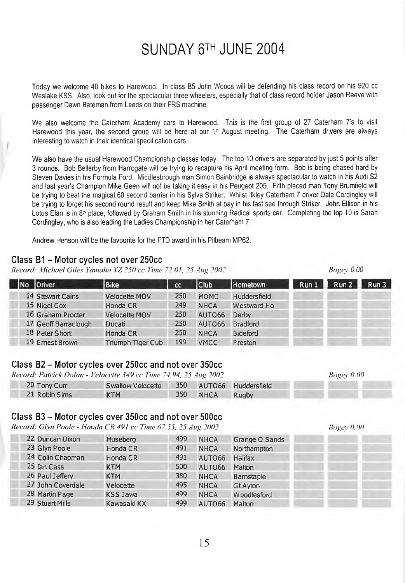### SUNDAY 6™ JUNE 2004

Today we welcome 40 bikes to Harewood. In class B5 John Woods will be defending his class record on his 920 cc Weslake KSS. Also, look out for the spectacular three wheelers, especially that of class record holder Jason Reeve with passenger Dawn Bateman from Leeds on their FRS machine.

We also welcome the Caterham Academy cars to Harewood. This is the first group of 27 Caterham 7's to visit Harewood this year, the second group will be here at our 1<sup>st</sup> August meeting. The Caterham drivers are always interesting to watch in their identical specification cars.

We also have the usual Harewood Championship classes today. The top 10 drivers are separated by just 5 points after 3 rounds. Bob Bellerby from Harrogate will be trying to recapture his April meeting form. Bob is being chased hard by Steven Davies in his Formula Ford. Middlesbrough man Simon Bainbridge is always spectacular to watch in his Audi S2 and last year's Champion Mike Geen will not be taking it easy in his Peugeot 205. Fifth placed man Tony Brumfield will be trying to beat the magical 60 second barrier in his Sylva Striker. Whilst llkley Caterham 7 driver Dale Cordingley will be trying to forget his second round result and keep Mike Smith at bay in his fast see through Striker. John Ellison in his Lotus Elan is in 8<sup>p</sup> place, followed by Graham Smith in his stunning Radical sports car. Completing the top 10 is Sarah Cordingley, who is also leading the Ladies Championship in her Caterham 7.

Andrew Henson will be the favourite for the FTD award in his Pilbeam MP62.

#### Class B1 - Motor cycles not over 250cc

*Record: Michael Giles Yamaha YZ 250 cc Time 72.01, 25 Aug 2002* 

| Driver               | <b>Bike</b>       | <sub>cc</sub> | Club               | Hometown        | Run1 | Run 2 | Run 3 |
|----------------------|-------------------|---------------|--------------------|-----------------|------|-------|-------|
| 14 Stewart Cains     | Velocette MOV     | 250           | <b>MDMC</b>        | Huddersfield    |      |       |       |
| 15 Nigel Cox         | Honda CR          | 249           | <b>NHCA</b>        | Westward Ho     |      |       |       |
| 16 Graham Procter    | Velocette MOV     | 250           | AUTO <sub>66</sub> | Derby           |      |       |       |
| 17 Geoff Barraclough | Ducati            | 250           | AUTO66             | <b>Bradford</b> |      |       |       |
| 18 Peter Short       | Honda CR          | 250           | <b>NHCA</b>        | <b>Bideford</b> |      |       |       |
| 19 Emest Brown       | Triumph Tiger Cub | 199           | <b>VMCC</b>        | Preston         |      |       |       |

#### Class B2 - Motor cycles over 250cc and not over 350cc

*Record: Patrick Dolan* - *I'elocelle 349 cc Time 74.94, 25 Aug 2002*

| 20 Tony Curr  | Swallow Velocette |     |      | 350 AUTO66 Huddersfield |
|---------------|-------------------|-----|------|-------------------------|
| 21 Robin Sims | <b>KTM</b>        | 350 | NHCA | <b>Rugby</b>            |

#### Class B3 - Motor cycles over 350cc and not over 500cc

*Record: Glvn Poole - Honda CR 491 cc Time 67.55. 25 Aug 2002 Bogey 0.00*

| 22 Duncan Dixon   | Huseberg        | 499 | <b>NHCA</b> | Grange O Sands     |  |
|-------------------|-----------------|-----|-------------|--------------------|--|
| 23 Glyn Poole     | Honda CR        | 491 | <b>NHCA</b> | Northampton        |  |
| 24 Colin Chapman  | Honda CR        | 491 | AUTO66      | Halifax            |  |
| 25 Jan Cass       | <b>KTM</b>      | 500 | AUTO66      | Malton             |  |
| 26 Paul Jeffery   | <b>KTM</b>      | 380 | <b>NHCA</b> | Bamstaple          |  |
| 27 John Coverdale | Velocette       | 495 | <b>NHCA</b> | <b>Gt Avton</b>    |  |
| 28 Martin Page    | <b>KSS Jawa</b> | 499 | <b>NHCA</b> | <b>Woodlesford</b> |  |
| 29 Stuart Mills   | Kawasaki KX     | 499 | AUTO66      | Malton             |  |
|                   |                 |     |             |                    |  |

*Bogey 0.00*

*Bogey 0.00*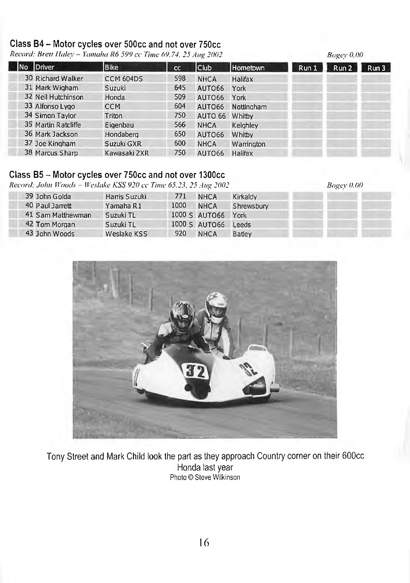#### Class B4 - Motor cycles over 500cc and not over 750cc

*Record: Brett Haley - Yamaha R6 599 cc Time 69.74, 25 Aug 2002*

|                     |              |           |             |            |       | $\cdots$ |      |
|---------------------|--------------|-----------|-------------|------------|-------|----------|------|
| Driver              | <b>Bike</b>  | <b>CC</b> | Club        | Hometown   | Run 1 | Run 2    | Run3 |
| 30 Richard Walker   | CCM 604DS    | 598       | <b>NHCA</b> | Halifax    |       |          |      |
| 31 Mark Wigham      | Suzuki       | 645       | AUTO66      | York       |       |          |      |
| 32 Neil Hutchinson  | Honda        | 509       | AUTO66      | York       |       |          |      |
| 33 Alfonso Lygo     | <b>CCM</b>   | 604       | AUTO66      | Nottingham |       |          |      |
| 34 Simon Taylor     | Triton       | 750       | AUTO 66     | Whitby     |       |          |      |
| 35 Martin Ratcliffe | Eigenbau     | 566       | <b>NHCA</b> | Keighley   |       |          |      |
| 36 Mark Jackson     | Hondaberg    | 650       | AUTO66      | Whitby     |       |          |      |
| 37 Joe Kingham      | Suzuki GXR   | 600       | <b>NHCA</b> | Warrington |       |          |      |
| 38 Marcus Sharp     | Kawasaki ZXR | 750       | AUTO66      | Halifax    |       |          |      |

*Bogey 0.00*

*Bogey 0.00*

#### Class B5 - Motor cycles over 750cc and not over 1300cc

*Record: John \Vood'< - Weslake KSS 920 cc Time 65.23, 25 A tig 2002*

39 John Golda 40 Paul Jarrett 41 Sam Matthewman 42 Tom Morgan 43 John Woods Harris Suzuki Yamaha R1 Suzuki TL Suzuki TL Weslake KSS 771 1000 1000 S AUT066 York 1000 S AUT066 920 **NHCA NHCA NHCA** Kirkaldy Shrewsbury Leeds **Batley** 



Tony street and Mark Child look the part as they approach Country corner on their 600cc Honda last year Photo © Steve Wilkinson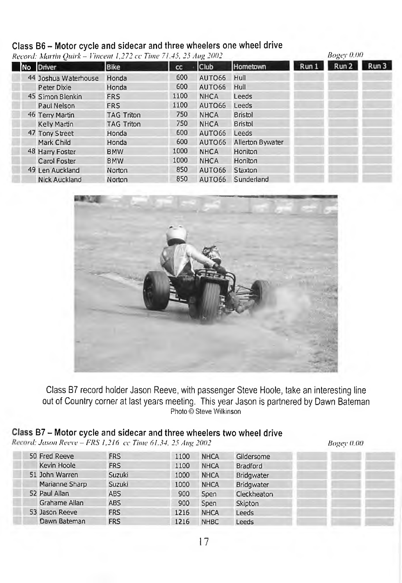#### Class B6 - Motor cycle and sidecar and three wheelers one wheel drive

*Record: Martin Quick - Vincent 1,272 cc Time 71.45, 25 Aiig 2002* 

|  | весона, мании уанъ – гипсени 1,272 се типе 71,49, 29 лид 2002 |                   | $\mathbf{u} \cdot \mathbf{v} = \mathbf{v} \cdot \mathbf{v}$ |             |                  |       |       |       |
|--|---------------------------------------------------------------|-------------------|-------------------------------------------------------------|-------------|------------------|-------|-------|-------|
|  | No Driver                                                     | <b>Bike</b>       | cc                                                          | <b>Club</b> | Hometown         | Run 1 | Run 2 | Run 3 |
|  | 44 Joshua Waterhouse                                          | Honda             | 600                                                         | AUTO66      | Hull             |       |       |       |
|  | Peter Dixie                                                   | Honda             | 600                                                         | AUTO66      | Hull             |       |       |       |
|  | 45 Simon Blenkin                                              | <b>FRS</b>        | 1100                                                        | <b>NHCA</b> | Leeds            |       |       |       |
|  | Paul Nelson                                                   | <b>FRS</b>        | 1100                                                        | AUTO66      | Leeds            |       |       |       |
|  | 46 Terry Martin                                               | <b>TAG Triton</b> | 750                                                         | <b>NHCA</b> | <b>Bristol</b>   |       |       |       |
|  | Kelly Martin                                                  | <b>TAG Triton</b> | 750                                                         | <b>NHCA</b> | Bristol          |       |       |       |
|  | 47 Tony Street                                                | Honda             | 600                                                         | AUTO66      | Leeds            |       |       |       |
|  | Mark Child                                                    | Honda             | 600                                                         | AUTO66      | Allerton Bywater |       |       |       |
|  | 48 Harry Foster                                               | <b>BMW</b>        | 1000                                                        | <b>NHCA</b> | Honiton          |       |       |       |
|  | Carol Foster                                                  | <b>BMW</b>        | 1000                                                        | <b>NHCA</b> | Honiton          |       |       |       |
|  | 49 Len Auckland                                               | Norton            | 850                                                         | AUTO66      | Staxton          |       |       |       |
|  | <b>Nick Auckland</b>                                          | Norton            | 850                                                         | AUTO66      | Sunderland       |       |       |       |
|  |                                                               |                   |                                                             |             |                  |       |       |       |



Class B7 record holder Jason Reeve, with passenger Steve Hoole, take an interesting line out of Country corner at last years meeting. This year Jason is partnered by Dawn Bateman Photo © Steve Wilkinson

#### s B7 - Motor cycle and sidecar and three wheelers two wheel drive

*>■(/; Ja.wn Reeve - FRS 1,216 cc Time 61.34. 25 Aug 2002*

*Bogey 0.00*

*Bogey 0.00*

| 50 Fred Reeve  | <b>FRS</b> | 1100 | <b>NHCA</b> | Gildersome        |  |
|----------------|------------|------|-------------|-------------------|--|
| Kevin Hoole    | <b>FRS</b> | 1100 | <b>NHCA</b> | <b>Bradford</b>   |  |
| 51 John Warren | Suzuki     | 1000 | <b>NHCA</b> | <b>Bridawater</b> |  |
| Marianne Sharp | Suzuki     | 1000 | <b>NHCA</b> | <b>Bridgwater</b> |  |
| 52 Paul Allan  | <b>ABS</b> | 900  | Spen        | Cleckheaton       |  |
| Grahame Allan  | <b>ABS</b> | 900  | Spen        | Skipton           |  |
| 53 Jason Reeve | <b>FRS</b> | 1216 | <b>NHCA</b> | Leeds             |  |
| Dawn Bateman   | <b>FRS</b> | 1216 | <b>NHBC</b> | Leeds             |  |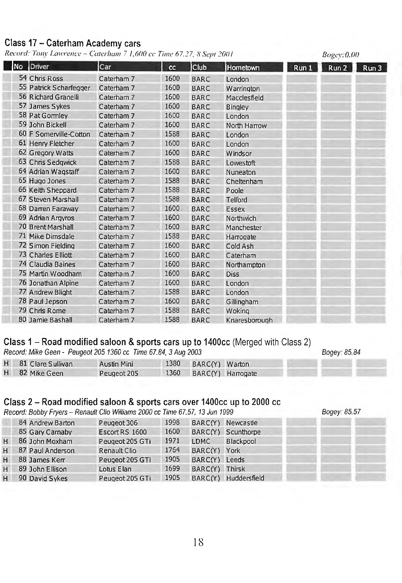#### Class 17 - Caterham Academy cars

*Record: Tony Lawrence - Caterham 7 1,600 cc Time 67.27, 8 Sept 2001* 

|     |                        |            |      |             |                |       | --- <u>-</u> -------- |      |
|-----|------------------------|------------|------|-------------|----------------|-------|-----------------------|------|
| No. | Driver                 | Car        | cc   | <b>Club</b> | Hometown       | Run 1 | Run 2                 | Run3 |
|     | 54 Chris Ross          | Caterham 7 | 1600 | <b>BARC</b> | London         |       |                       |      |
|     | 55 Patrick Scharfegger | Caterham 7 | 1600 | <b>BARC</b> | Warrington     |       |                       |      |
|     | 56 Richard Granelli    | Caterham 7 | 1600 | <b>BARC</b> | Macclesfield   |       |                       |      |
|     | 57 James Sykes         | Caterham 7 | 1600 | <b>BARC</b> | <b>Bingley</b> |       |                       |      |
|     | 58 Pat Gormley         | Caterham 7 | 1600 | <b>BARC</b> | London         |       |                       |      |
|     | 59 John Bickell        | Caterham 7 | 1600 | <b>BARC</b> | North Harrow   |       |                       |      |
|     | 60 F Somerville-Cotton | Caterham 7 | 1588 | <b>BARC</b> | London         |       |                       |      |
|     | 61 Henry Fletcher      | Caterham 7 | 1600 | <b>BARC</b> | London         |       |                       |      |
|     | 62 Gregory Watts       | Caterham 7 | 1600 | <b>BARC</b> | Windsor        |       |                       |      |
|     | 63 Chris Sedgwick      | Caterham 7 | 1588 | <b>BARC</b> | Lowestoft      |       |                       |      |
|     | 64 Adrian Wagstaff     | Caterham 7 | 1600 | <b>BARC</b> | Nuneaton       |       |                       |      |
|     | 65 Hugo Jones          | Caterham 7 | 1588 | <b>BARC</b> | Cheltenham     |       |                       |      |
|     | 66 Keith Sheppard      | Caterham 7 | 1588 | <b>BARC</b> | Poole          |       |                       |      |
|     | 67 Steven Marshall     | Caterham 7 | 1588 | <b>BARC</b> | Telford        |       |                       |      |
|     | 68 Darren Faraway      | Caterham 7 | 1600 | <b>BARC</b> | Essex          |       |                       |      |
|     | 69 Adrian Argyros      | Caterham 7 | 1600 | <b>BARC</b> | Northwich      |       |                       |      |
|     | 70 Brent Marshall      | Caterham 7 | 1600 | <b>BARC</b> | Manchester     |       |                       |      |
|     | 71 Mike Dimsdale       | Caterham 7 | 1588 | <b>BARC</b> | Harrogate      |       |                       |      |
|     | 72 Simon Fielding      | Caterham 7 | 1600 | <b>BARC</b> | Cold Ash       |       |                       |      |
|     | 73 Charles Elliott     | Caterham 7 | 1600 | <b>BARC</b> | Caterham       |       |                       |      |
|     | 74 Claudia Baines      | Caterham 7 | 1600 | <b>BARC</b> | Northampton    |       |                       |      |
|     | 75 Martin Woodham      | Caterham 7 | 1600 | <b>BARC</b> | <b>Diss</b>    |       |                       |      |
|     | 76 Jonathan Alpine     | Caterham 7 | 1600 | <b>BARC</b> | London         |       |                       |      |
|     | 77 Andrew Blight       | Caterham 7 | 1588 | <b>BARC</b> | London         |       |                       |      |
|     | 78 Paul Jepson         | Caterham 7 | 1600 | <b>BARC</b> | Gillingham     |       |                       |      |
|     | 79 Chris Rome          | Caterham 7 | 1588 | <b>BARC</b> | Woking         |       |                       |      |
|     | 80 Jamie Bashall       | Caterham 7 | 1588 | <b>BARC</b> | Knaresborough  |       |                       |      |

#### Class 1 - Road modified saloon & sports cars up to 1400cc (Merged with Class 2)

*Record: Mike Geen - Peugeot 205 1360 cc Time 67.84,* 3 *Aug 2003*

*Bogey: 85.84*

*Bogey: 0.00*

| H 81 Clare Sullivan | Austin Mini | 1380 BARC(Y) Warton |                        |
|---------------------|-------------|---------------------|------------------------|
| H 82 Mike Geen      | Peugeot 205 |                     | 1360 BARC(Y) Harrogate |

#### Class 2 – Road modified saloon & sports cars over 1400cc up to 2000 cc

*Record: Bobby Fryers - Renault Clio Wiiliarr^s 2000 cc Time 67.57, 13 Jun 1999 Bogey: 85.57*

| Bogey: 85.57 |  |
|--------------|--|
|              |  |

|   | 84 Andrew Barton   | Peugeot 306     | 1998 |                | BARC(Y) Newcastle    |  |
|---|--------------------|-----------------|------|----------------|----------------------|--|
|   | 85 Gary Carnaby    | Escort RS 1600  | 1600 |                | BARC(Y) Scunthorpe   |  |
| H | 86 John Moxham     | Peugeot 205 GTi | 1971 | LDMC           | Blackpool            |  |
|   | H 87 Paul Anderson | Renault Clio    | 1764 | BARC(Y) York   |                      |  |
| H | 88 James Kerr      | Peugeot 205 GTi | 1905 | BARC(Y) Leeds  |                      |  |
| H | 89 John Ellison    | Lotus Elan      | 1699 | BARC(Y) Thirsk |                      |  |
| H | 90 David Sykes     | Peugeot 205 GTi | 1905 |                | BARC(Y) Huddersfield |  |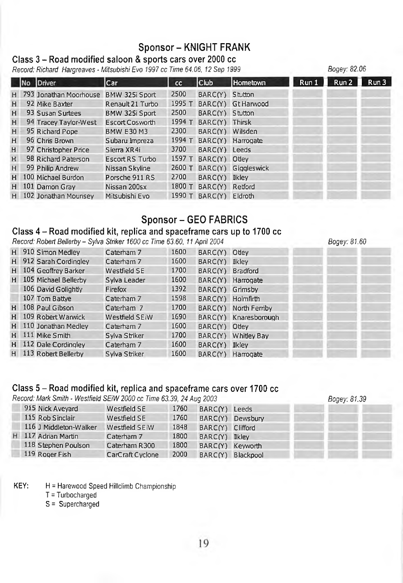#### Sponsor-KNIGHT FRANK

*Bogey: 82.06*

#### Class 3 - Road modified saloon & sports cars over 2000 cc

*Record: Richard Hargreaves - Mitsubishi Evo 1997 cc Time 64.06, 12 Sep 1999*

|   | No Driver              | Car                    | cc     | Club             | <b>Hometown</b>     | Run 1 | Run 2 | Run 3 |
|---|------------------------|------------------------|--------|------------------|---------------------|-------|-------|-------|
| H | 793 Jonathan Moorhouse | BMW 325i Sport         | 2500   | BARC(Y) Stutton  |                     |       |       |       |
| H | 92 Mike Baxter         | Renault 21 Turbo       | 1995 T |                  | BARC(Y) Gt Harwood  |       |       |       |
| H | 93 Susan Surtees       | BMW 325i Sport         | 2500   | BARC(Y) Stutton  |                     |       |       |       |
| H | 94 Tracey Taylor-West  | <b>Escort Cosworth</b> | 1994 T | BARC(Y) Thirsk   |                     |       |       |       |
| H | 95 Richard Pope        | <b>BMW E30 M3</b>      | 2300   | BARC(Y) Wilsden  |                     |       |       |       |
| H | 96 Chris Brown         | Subaru Impreza         | 1994 T |                  | BARC(Y) Harrogate   |       |       |       |
| H | 97 Christopher Price   | Sierra XR4i            | 3700   | BARC(Y) Leeds    |                     |       |       |       |
| H | 98 Richard Paterson    | Escort RS Turbo        | 1597 T | BARC(Y) Otley    |                     |       |       |       |
| H | 99 Philip Andrew       | Nissan Skyline         | 2600 T |                  | BARC(Y) Giggleswick |       |       |       |
| H | 100 Michael Burdon     | Porsche 911 RS         | 2700   | BARC(Y) Ikley    |                     |       |       |       |
| H | 101 Damon Gray         | Nissan 200sx           | 1800 T | BARC(Y) Retford  |                     |       |       |       |
| H | 102 Jonathan Mounsey   | Mitsubishi Evo         |        | 1990 $T$ BARC(Y) | Eldroth             |       |       |       |

#### Sponsor - GEO FABRICS

#### Class 4 – Road modified kit, replica and spaceframe cars up to 1700 cc

*Record: Robert Bellerby - Sylva Striker 1600 cc Time 63.60,11 April 2004 Bogey: 81.60*

|   | H 910 Simon Medley     | Caterham 7     | 1600 | BARC(Y) Odey      |                       |
|---|------------------------|----------------|------|-------------------|-----------------------|
|   | H 912 Sarah Cordingley | Caterham 7     | 1600 | BARC(Y) Ikley     |                       |
| H | 104 Geoffrey Barker    | Westfield SE   | 1700 | BARC(Y) Bradford  |                       |
| H | 105 Michael Bellerby   | Sylva Leader   | 1600 |                   | BARC(Y) Harrogate     |
|   | 106 David Golightly    | Firefox        | 1392 | BARC(Y) Grimsby   |                       |
|   | 107 Tom Battve         | Caterham 7     | 1598 | BARC(Y) Holmfirth |                       |
|   | H 108 Paul Gibson      | Caterham 7     | 1700 |                   | BARC(Y) North Ferriby |
|   | H 109 Robert Warwick   | Westfield SEiW | 1690 |                   | BARC(Y) Knaresborough |
|   | H 110 Jonathan Medley  | Caterham 7     | 1600 | BARC(Y) Odey      |                       |
|   | H 111 Mike Smith       | Sylva Striker  | 1700 |                   | BARC(Y) Whitley Bay   |
|   | H 112 Dale Cordingley  | Caterham 7     | 1600 | BARC(Y) Ikley     |                       |
|   | H 113 Robert Bellerby  | Sylva Striker  | 1600 |                   | BARC(Y) Harrogate     |

#### Class 5 - Road modified kit, replica and spaceframe cars over 1700 cc

*Record: Mark Smith - Westfield SEiW 2000 cc Time 63.39, 24 Aug 2003 Bogey: 81.39*

|                  | Westfield SE                                                                                             | 1760 |           |                                                                                                       |  |
|------------------|----------------------------------------------------------------------------------------------------------|------|-----------|-------------------------------------------------------------------------------------------------------|--|
| 115 Rob Sinclair | Westfield SE                                                                                             | 1760 |           |                                                                                                       |  |
|                  | Westfield SEiW                                                                                           | 1848 |           |                                                                                                       |  |
|                  | Caterham 7                                                                                               | 1800 |           |                                                                                                       |  |
|                  | Caterham R300                                                                                            | 1800 |           |                                                                                                       |  |
|                  | CarCraft Cyclone                                                                                         | 2000 | Blackpool |                                                                                                       |  |
|                  | 915 Nick Avevard<br>116 J Middleton-Walker<br>117 Adrian Martin<br>118 Stephen Poulson<br>119 Roger Fish |      |           | BARC(Y) Leeds<br>BARC(Y) Dewsbury<br>BARC(Y) Clifford<br>BARC(Y) Ekley<br>BARC(Y) Keyworth<br>BARC(Y) |  |

KEY: H = Harewood Speed Hillclimb Championship

T = Turbocharged

S = Supercharged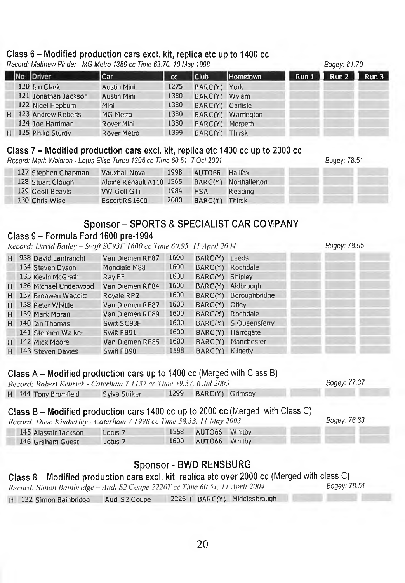#### Class 6 - Modified production cars excl. kit, replica etc up to 1400 cc *Record: Matthew Finder - MG Metro 1380 cc Time 63.70,10 May 1998*

|   | $n$ , $\alpha$ , $\alpha$ , $\alpha$ , $\alpha$ , $\alpha$ , $\alpha$ , $\alpha$ , $\alpha$ , $\alpha$ , $\alpha$ , $\alpha$ , $\alpha$ , $\alpha$ , $\alpha$ , $\alpha$ , $\alpha$ , $\alpha$ , $\alpha$ , $\alpha$ , $\alpha$ , $\alpha$ , $\alpha$ , $\alpha$ , $\alpha$ , $\alpha$ , $\alpha$ , $\alpha$ , $\alpha$ , $\alpha$ , $\alpha$ , $\alpha$ , $\alpha$ , $\alpha$ , $\alpha$ , $\alpha$ , $\alpha$ , |             |      |                  |                    | UUVUV. U1.1V |         |       |
|---|-------------------------------------------------------------------------------------------------------------------------------------------------------------------------------------------------------------------------------------------------------------------------------------------------------------------------------------------------------------------------------------------------------------------|-------------|------|------------------|--------------------|--------------|---------|-------|
|   | No Driver                                                                                                                                                                                                                                                                                                                                                                                                         | Car         | cc   | <b>Club</b>      | Hometown           | Run 1        | Run $2$ | Run 3 |
|   | 120 Ian Clark                                                                                                                                                                                                                                                                                                                                                                                                     | Austin Mini | 1275 | BARC(Y)          | York               |              |         |       |
|   | 121 Jonathan Jackson                                                                                                                                                                                                                                                                                                                                                                                              | Austin Mini | 1380 | BARC(Y) Wylam    |                    |              |         |       |
|   | 122 Nigel Hepburn                                                                                                                                                                                                                                                                                                                                                                                                 | Mini        | 1380 | BARC(Y) Carlisle |                    |              |         |       |
| H | 123 Andrew Roberts                                                                                                                                                                                                                                                                                                                                                                                                | MG Metro    | 1380 |                  | BARC(Y) Warrington |              |         |       |
|   | 124 Joe Harriman                                                                                                                                                                                                                                                                                                                                                                                                  | Rover Mini  | 1380 | BARC(Y) Morpeth  |                    |              |         |       |
|   | H 125 Philip Sturdy                                                                                                                                                                                                                                                                                                                                                                                               | Rover Metro | 1399 | BARC(Y) Thirsk   |                    |              |         |       |
|   |                                                                                                                                                                                                                                                                                                                                                                                                                   |             |      |                  |                    |              |         |       |

#### Class 7 - Modified production cars excl. kit, replica etc 1400 cc up to 2000 cc

*Record: Mark Waldron - Lotus Elise Turbo 1396 cc Time 60.51, 7 Oct 2001*

127 Stephen Chapman 128 Stuart Clough 129 Geoff Beavis 130 Chris Wise Vauxhall Nova 1998 Alpine Renault A 110 1565 VW Golf GTi 1984 EscortR S1600 2000 AUT066 Halifax BARC(Y) Northallerton HSA Reading BARC(Y) Thirsk

#### Sponsor - SPORTS & SPECIALIST CAR COMPANY

#### Class 9 - Formula Ford 1600 pre-1994

*Record- D a v u iB a ile y -S w ift SC93I- I6 0 0 c c Time 60.95. II April 2004 Bogey: 78.95*

| н. | 938 David Lanfranchi  | Van Diemen RF87 | 1600 | BARC(Y) Leeds    |                       |
|----|-----------------------|-----------------|------|------------------|-----------------------|
|    | 134 Steven Dyson      | Mondiale M88    | 1600 | BARC(Y) Rochdale |                       |
|    | 135 Kevin McGrath     | Ray FF          | 1600 | BARC(Y) Shipley  |                       |
| H  | 136 Michael Underwood | Van Diemen RF84 | 1600 |                  | BARC(Y) Aldbrough     |
| H  | 137 Bronwen Waggitt   | Royale RP2      | 1600 |                  | BARC(Y) Boroughbridge |
| H. | 138 Peter Whittle     | Van Diemen RF87 | 1600 | BARC(Y) Otley    |                       |
| H  | 139 Mark Moran        | Van Diemen RF89 | 1600 |                  | BARC(Y) Rochdale      |
| H  | 140 Ian Thomas        | Swift SC93F     | 1600 |                  | BARC(Y) S Queensferry |
|    | 141 Stephen Walker    | Swift FB91      | 1600 |                  | BARC(Y) Harrogate     |
| H. | 142 Mick Moore        | Van Diemen RF85 | 1600 |                  | BARC(Y) Manchester    |
| H  | 143 Steven Davies     | Swift FB90      | 1598 | BARC(Y) Kilgetty |                       |

#### Class  $A -$  Modified production cars up to 1400 cc (Merged with Class B)

*Record: Robert Keiirick - Caterham 7 1137 cc Time 59.37. 6 Jtil 2003 Bogey: 77.37* H 144 Tony Brumfield Sylva Striker 1299 BARC(Y) Grimsby

#### Class  $B -$  Modified production cars 1400 cc up to 2000 cc (Merged with Class C)

*Record: Dave Kimberley* - *Caterham* 7 *199S cc Time 58.33. 11 May 2003 Bogey: 76.33*

|                      | $\mathfrak{g}\mathfrak{c}$ <i>ma. Dave Kimbertey - Calerman + 1770</i> cc Time 90.95, 11 maj 2005 - |  |                    |  |  |  |  |  |
|----------------------|-----------------------------------------------------------------------------------------------------|--|--------------------|--|--|--|--|--|
| 145 Alastair Jackson | Lotus <sub>7</sub>                                                                                  |  | 1558 AUTO66 Whitby |  |  |  |  |  |
| 146 Graham Guest     | Lotus <sub>7</sub>                                                                                  |  | 1600 AUTO66 Whitby |  |  |  |  |  |

#### Sponsor-BWD RENSBURG

#### Class 8 - Modified production cars excl. kit, replica etc over 2000 cc (Merged with class C)

*Record: Simon Baiubridge - Audi S2 Coupe 2226Tcc Time 60.51. 11 April 2004 Bogey: 78.51*

H 132 Simon Bainbridge Audi S2 Coupe 2226 T BARC(Y) Middlesbrough

Bogey: 78.51

*Bogey: 81.70*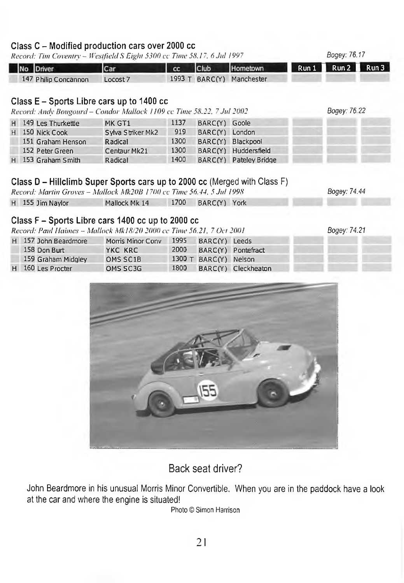#### $C =$  Modified production cars over  $2000$  cc

| Record: Tim Coventry - Westfield S Eight 5300 cc Time 58.17, 6 Jul 1997<br>No Driver | Car               | cc   | Club                  | Hometown                  | Run 1 | Bogey: 76.17<br>Run2<br>Run3 |
|--------------------------------------------------------------------------------------|-------------------|------|-----------------------|---------------------------|-------|------------------------------|
| 147 Philip Concannon                                                                 | Locost 7          |      |                       | 1993 T BARC(Y) Manchester |       |                              |
|                                                                                      |                   |      |                       |                           |       |                              |
|                                                                                      |                   |      |                       |                           |       |                              |
| Class E - Sports Libre cars up to 1400 cc                                            |                   |      |                       |                           |       | Boaev: 76.22                 |
| Record: Andy Bougourd - Condor Mallock 1109 cc Time 58.22, 7 Jul 2002                |                   |      |                       |                           |       |                              |
| H 149 Les Thurkettle                                                                 | MK GT1            | 1137 | BARC(Y) Goole         |                           |       |                              |
| H 150 Nick Cook                                                                      | Sylva Striker Mk2 | 919  | BARC(Y) London        |                           |       |                              |
| 151 Graham Henson                                                                    | Radical           | 1300 |                       | BARC(Y) Blackpool         |       |                              |
| 152 Peter Green                                                                      | Centaur Mk21      | 1300 |                       | BARC(Y) Huddersfield      |       |                              |
| H 153 Graham Smith                                                                   | Radical           | 1400 |                       | BARC(Y) Pateley Bridge    |       |                              |
|                                                                                      |                   |      |                       |                           |       |                              |
| Class D – Hillclimb Super Sports cars up to 2000 cc (Merged with Class F)            |                   |      |                       |                           |       |                              |
| Record: Martin Groves - Mallock Mk20B 1700 cc Time 56.44, 5 Jul 1998                 |                   |      |                       |                           |       | Bogey: 74.44                 |
| H 155 Jim Naylor                                                                     | Mallock Mk 14     | 1700 | BARC(Y) York          |                           |       |                              |
|                                                                                      |                   |      |                       |                           |       |                              |
| Class F - Sports Libre cars 1400 cc up to 2000 cc                                    |                   |      |                       |                           |       |                              |
| Record: Paul Haimes - Mallock Mk18/20 2000 cc Time 56.21, 7 Oct 2001                 |                   |      |                       |                           |       | Bogey: 74.21                 |
| H 157 John Beardmore                                                                 | Morris Minor Conv | 1995 | BARC(Y) Leeds         |                           |       |                              |
| 158 Don Burt                                                                         | YKC KRC           | 2000 |                       | BARC(Y) Pontefract        |       |                              |
| 159 Graham Midgley                                                                   | OMS SC1B          |      | 1300 T BARC(Y) Nelson |                           |       |                              |
| H 160 Les Procter                                                                    | OMS SC3G          | 1800 |                       | BARC(Y) Cleckheaton       |       |                              |
|                                                                                      |                   |      |                       |                           |       |                              |
|                                                                                      |                   |      |                       |                           |       |                              |
|                                                                                      |                   |      |                       |                           |       |                              |
|                                                                                      |                   |      |                       |                           |       |                              |
|                                                                                      |                   |      |                       |                           |       |                              |
|                                                                                      |                   |      |                       |                           |       |                              |

Back seat driver?

John Beardmore in his unusual Morris Minor Convertible. When you are in the paddock have a look at the car and where the engine is situated!

Photo © Simon Harrison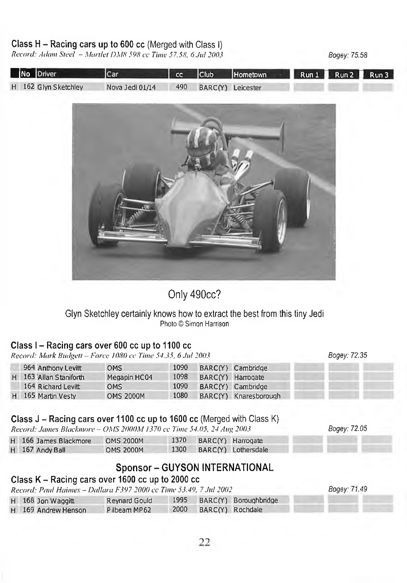#### Class H - Racing cars up to 600 cc (Merged with Class I)

*Record: Adam Steel - Martlet DMH 598 cc Time 57.58, 6 Jul 2003*

*Bogey: 75.58*

*Bogey: 72.35*

*Bogey: 72.05*

|  | No Driver            | ICar            |                       | cc Club Hometown | Run 1 Run 2 Run 3 |  |
|--|----------------------|-----------------|-----------------------|------------------|-------------------|--|
|  | H 162 Glyn Sketchley | Nova Jedi 01/14 | 490 BARC(Y) Leicester |                  |                   |  |



Only 490cc?

#### Glyn Sketchley certainly knows how to extract the best from this tiny Jedi Photo © Simon Harrison

#### Class I - Racing cars over 600 cc up to 1100 cc

*Record: M ark Budgett - Force 1080 cc Time 54.35, 6 .J1112003*

| 964 Anthony Levitt     | <b>OMS</b>       | 1090 | BARC(Y) Cambridge     |  |
|------------------------|------------------|------|-----------------------|--|
| H 163 Allan Staniforth | Megapin HC04     | 1098 | BARC(Y) Harrogate     |  |
| 164 Richard Levitt     | <b>OMS</b>       | 1090 | BARC(Y) Cambridge     |  |
| H 165 Martin Vesty     | <b>OMS 2000M</b> | 1080 | BARC(Y) Knaresborough |  |

#### Class J - Racing cars over 1100 cc up to 1600 cc (Merged with Class K)

*Record: Jam es Blackmore - OMS 2000M 1370 cc Time 54.05, 24 Aug 2003*

| H 166 James Blackmore | <b>OMS 2000M</b> |  | 1370 BARC(Y) Harrogate   |
|-----------------------|------------------|--|--------------------------|
| H 167 Andy Ball       | <b>OMS 2000M</b> |  | 1300 BARC(Y) Lothersdale |

#### Sponsor - GUYSON INTERNATIONAL

#### Class K - Racing cars over 1600 cc up to 2000 cc

|  | Record: Paul Haimes – Dallara F397 2000 cc Time 53.49, 7 Jul 2002 |               | Bogey: 71.49          |                            |  |
|--|-------------------------------------------------------------------|---------------|-----------------------|----------------------------|--|
|  | $H$ 168 Jon Waggitt                                               | Reynard Gould |                       | 1995 BARC(Y) Boroughbridge |  |
|  | H 169 Andrew Henson                                               | Pilbeam MP62  | 2000 BARC(Y) Rochdale |                            |  |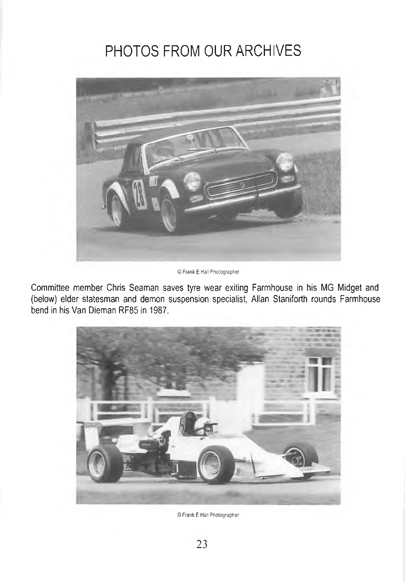# PHOTOS FROM OUR ARCHIVES



© Frank E Hall Photographer

Committee member Chris Seaman saves tyre wear exiting Farmhouse in his MG Midget and (below) elder statesman and demon suspension specialist, Allan Staniforth rounds Farmhouse bend in his Van Dieman RF85 in 1987.



© Frank E Hall Photographer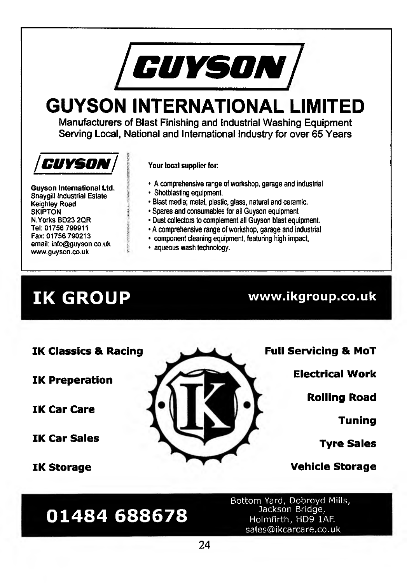

# **GUYSON INTERNATIONAL LIMITED**

Manufacturers of Blast Finishing and Industrial Washing Equipment Serving Local, National and International Industry for over 65 Years



**Guyson International Ltd. Snaygill Industrial Estate Keighley Road SKIPTON N.Yorks BD23 2QR Tel: 01756 799911 Fax: 01756 790213 email: [info@guyson.co.uk](mailto:info@guyson.co.uk) [www.guyson.co.uk](http://www.guyson.co.uk)**

#### Your local supplier for:

- A comprehensive range of workshop, garage and Industrial • Shotblasting equipment.
- Blast media; metal, plastic, glass, natural and ceramic.
- Spares and consumables for all Guyson equipment
- Dust collectors to complement all Guyson blast equipment.
- A comprehensive range of workshop, garage and industrial
- component cleaning equipment, featuring high Impact.
- aqueous wash technology.

# **IK GROUP [www.ikgroup.co.uk](http://www.ikgroup.co.uk)**

**IK Classics & Racing**

**01484 688678**

**IK Preperation**

**IK Car Care**

**IK Car Sales**

**IK Storage**



**Full Servicing & MoT**

**Electrical Work**

**Rolling Road**

**Tuning**

**Tyre Sales**

**Vehicle Storage**

Bottom Yard, Dobroyd Mills, Jackson Bridge, Holmfirth, HD9 lAF. [sales@ikcarcare.co.uk](mailto:sales@ikcarcare.co.uk)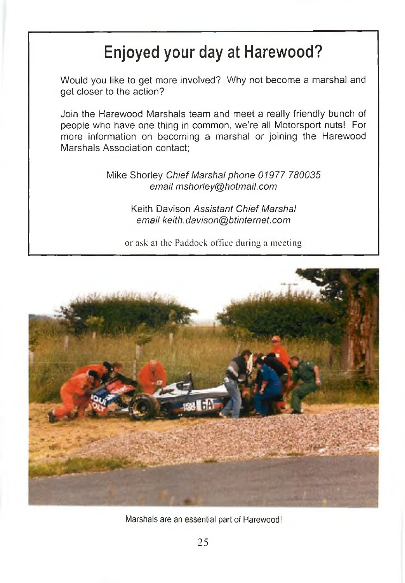# Enjoyed your day at Harewood?

Would you like to get more involved? Why not become a marshal and get closer to the action?

Join the Harewood Marshals team and meet a really friendly bunch of people who have one thing in common, we're all Motorsport nuts! For more information on becoming a marshal or joining the Harewood Marshals Association contact:

> Mike Shorley *Chief Marshal phone 01977 780035 email [mshorley@hotmail.com](mailto:mshorley@hotmail.com)*

> > Keith Davison *Assistant Chief Marshal email keith. davison@btinternet. com*

or ask at the Paddock office during a meeting



Marshals are an essential part of Harewood!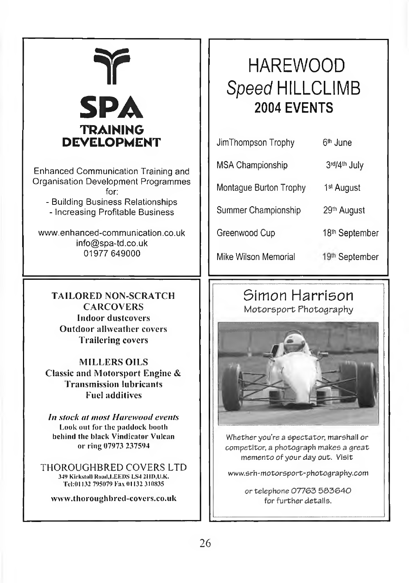# **¥ SPA TRAINING** DEVELOPMENT

Enhanced Communication Training and Organisation Development Programmes for:

- Building Business Relationships - Increasing Profitable Business

[www.enhanced-communication.co.uk](http://www.enhanced-communication.co.uk) [info@spa-td.co.uk](mailto:info@spa-td.co.uk) 01977 649000

TAILORED NON-SCRATCH **CARCOVERS** Indoor dustcovers Outdoor allweather covers Trailering covers

**MILLERS OILS** Classic and Motorsport Engine & **Transmission lubricants** Fuel additives

*In stock at most Harewood events* **Look out for llic paddock booth behind the black Vindicator Vulcan or ring 07973 237594**

THOROUGHBRED COVERS LTD 349 Kirkstall Road, LEEDS LS4 2HD, U.K. Tel:01132 795079 Fax 01132 310835

**vv w w .th o ro u g h h re d -c o ve rs.co .u k**

# HAREWOOD Speed HILLCLIMB **2004 EVENTS**

| JimThompson Trophy     | 6 <sup>th</sup> June    |
|------------------------|-------------------------|
| MSA Championship       | 3rd/4th July            |
| Montague Burton Trophy | 1 <sup>st</sup> August  |
| Summer Championship    | 29 <sup>th</sup> August |
| Greenwood Cup          | 18th September          |
| Mike Wilson Memorial   | 19th September          |

#### Simon Harrison *Wiotore^ort* Photography



Whether you're a spectator, marshall or competitor, a photograph makes a great memento of your day out. Visit

[www.srh-motorsport-photography.com](http://www.srh-motorsport-photography.com)

or telephone 07763 583640 for further details.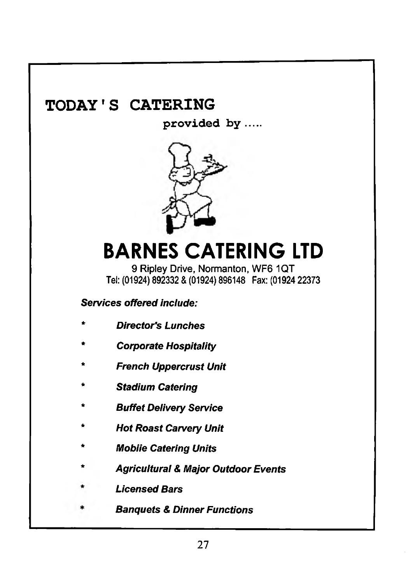### **TODAY'S CATERING**

**provided by**



# **BARNES CATERING LTD**

9 Ripley Drive, Normanton, WF6 1QT Tel; (01924) 892332 & (01924) 896148 Fax: (01924 22373

#### *Services offered include:*

- *\* Director's Lunches*
- *Corporate Hospitality*
- *French Uppercrust Unit*
- *Stadium Catering*
- *Buffet Delivery Service*
- *Hot Roast Carvery Unit*
- *l\/lobiie Catering Units*
- *Agricultural & Major Outdoor Events*
- *Licensed Bars*
- *Banquets & Dinner Functions*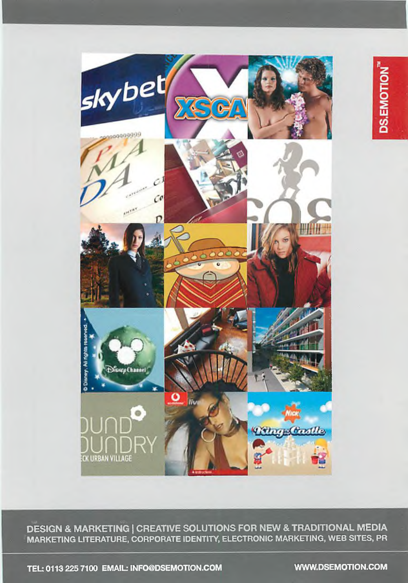

*-m m-'.* **DESIGN & MARKETING | CREATIVE SOLUTIONS FOR NEW & TRADITIONAL MEDIA** ^MARKETING LITERATURE, CORPORATE IDENTITY, ELECTRONIC MARKETING, WEB SITES, PR

TEL: 0113 225 7100 EMAIL: [INFO@DSEMOTION.COM](mailto:INFO@DSEMOTION.COM) [WWW.DSEMOTION.COM](http://WWW.DSEMOTION.COM)

**DS.EMOTION**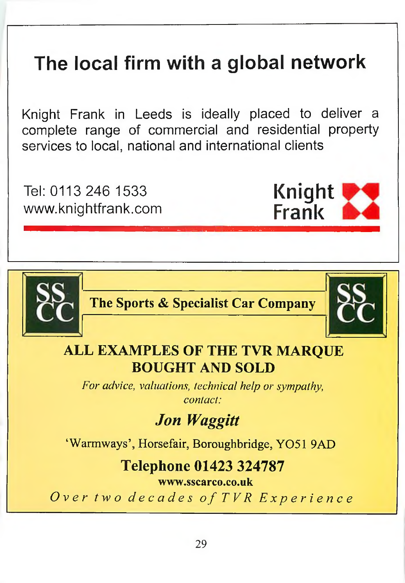# **The local firm with a global network**

Knight Frank in Leeds is ideally placed to deliver a complete range of commercial and residential property services to local, national and international clients

Tel: 0113 246 1533 [www.knightfrank.com](http://www.knightfrank.com)

**The Sports & Specialist Car Company**



**Knight Frank**

### **ALL EXAMPLES OF THE TVR MARQUE BOUGHT AND SOLD**

*For advice, valuations, technical help or sympathy, contact:*

# *Jon Waggitt*

'Warmways', Horsefair, Boroughbridge, Y051 9AD

### **Telephone 01423 324787**

**wvrw.sscarco.co.uk**

*Over two decades of TVR Experience*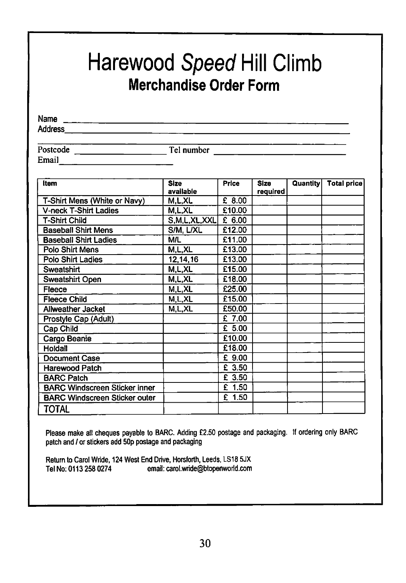# Harewood *Speed* Hill Climb Merchandise Order Form

Name

Address

**Email Email** 

Postcode Tel number

| <b>Item</b>                          | <b>Size</b>  | Price    | <b>Size</b> | Quantity | <b>Total price</b> |
|--------------------------------------|--------------|----------|-------------|----------|--------------------|
|                                      | available    |          | required    |          |                    |
| T-Shirt Mens (White or Navy)         | M.L.XL       | £ 8.00   |             |          |                    |
| <b>V-neck T-Shirt Ladies</b>         | M.L.XL       | £10.00   |             |          |                    |
| <b>T-Shirt Child</b>                 | S,M,L,XL,XXL | £ 6.00   |             |          |                    |
| <b>Baseball Shirt Mens</b>           | S/M, L/XL    | £12.00   |             |          |                    |
| <b>Baseball Shirt Ladies</b>         | <b>M/L</b>   | £11.00   |             |          |                    |
| Polo Shirt Mens                      | M.L.XL       | £13.00   |             |          |                    |
| Polo Shirt Ladies                    | 12, 14, 16   | £13.00   |             |          |                    |
| Sweatshirt                           | M.L.XL       | £15.00   |             |          |                    |
| Sweatshirt Open                      | M.L.XL       | £18.00   |             |          |                    |
| Fleece                               | M.L.XL       | £25.00   |             |          |                    |
| <b>Fleece Child</b>                  | M.L.XL       | £15.00   |             |          |                    |
| Allweather Jacket                    | M.L.XL       | £50.00   |             |          |                    |
| Prostyle Cap (Adult)                 |              | £ 7.00   |             |          |                    |
| Cap Child                            |              | £5.00    |             |          |                    |
| Cargo Beanie                         |              | £10.00   |             |          |                    |
| Holdall                              |              | £18.00   |             |          |                    |
| <b>Document Case</b>                 |              | £ 9.00   |             |          |                    |
| <b>Harewood Patch</b>                |              | £ 3.50   |             |          |                    |
| <b>BARC Patch</b>                    |              | £ 3.50   |             |          |                    |
| <b>BARC Windscreen Sticker inner</b> |              | $£$ 1.50 |             |          |                    |
| <b>BARC Windscreen Sticker outer</b> |              | £ 1.50   |             |          |                    |
| TOTAL                                |              |          |             |          |                    |

Please make all cheques payable to BARC. Adding £2.50 postage and packaging. If ordering only BARC patch and / or stickers add 50p postage and packaging

Return to Carol Wride, 124 West End Drive, Horsforth, Leeds, LS18 5JX Tel No: 0113 258 0274 email: [carol.wride@btopenworld.com](mailto:carol.wride@btopenworld.com)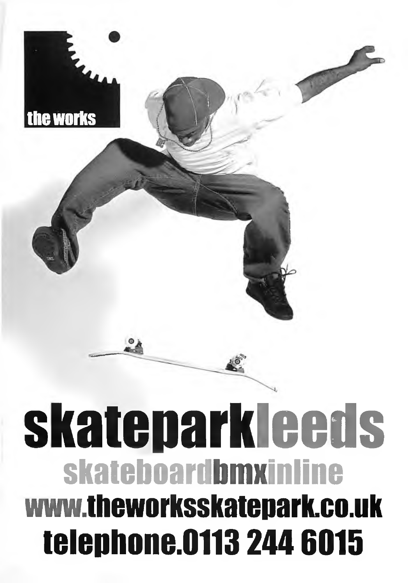